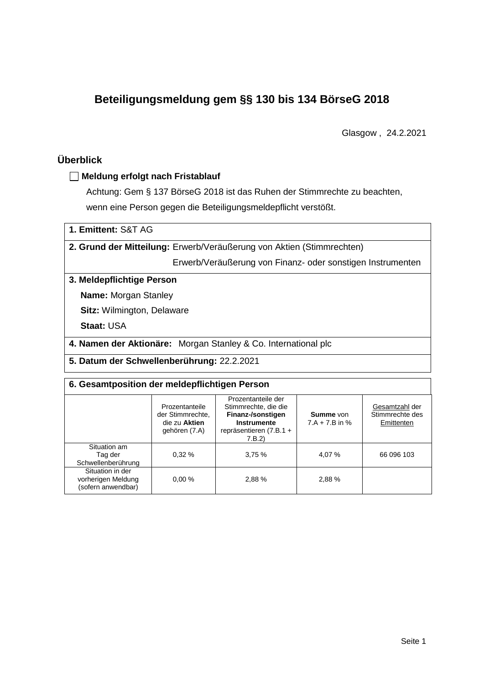# **Beteiligungsmeldung gem §§ 130 bis 134 BörseG 2018**

Glasgow , 24.2.2021

# **Überblick**

## **Meldung erfolgt nach Fristablauf**

Achtung: Gem § 137 BörseG 2018 ist das Ruhen der Stimmrechte zu beachten, wenn eine Person gegen die Beteiligungsmeldepflicht verstößt.

| 1. Emittent: S&T AG |  |  |
|---------------------|--|--|
|---------------------|--|--|

**2. Grund der Mitteilung:** Erwerb/Veräußerung von Aktien (Stimmrechten)

Erwerb/Veräußerung von Finanz- oder sonstigen Instrumenten

### **3. Meldepflichtige Person**

**Name:** Morgan Stanley

**Sitz:** Wilmington, Delaware

**Staat:** USA

**4. Namen der Aktionäre:** Morgan Stanley & Co. International plc

**5. Datum der Schwellenberührung:** 22.2.2021

#### **6. Gesamtposition der meldepflichtigen Person**

|                                                              | Prozentanteile<br>der Stimmrechte.<br>die zu Aktien<br>gehören (7.A) | Prozentanteile der<br>Stimmrechte, die die<br>Finanz-/sonstigen<br>Instrumente<br>repräsentieren (7.B.1 +<br>7.B.2) | Summe von<br>$7.A + 7.B$ in % | Gesamtzahl der<br>Stimmrechte des<br>Emittenten |
|--------------------------------------------------------------|----------------------------------------------------------------------|---------------------------------------------------------------------------------------------------------------------|-------------------------------|-------------------------------------------------|
| Situation am<br>Tag der<br>Schwellenberührung                | 0.32%                                                                | 3,75%                                                                                                               | 4,07 %                        | 66 096 103                                      |
| Situation in der<br>vorherigen Meldung<br>(sofern anwendbar) | 0.00%                                                                | 2,88 %                                                                                                              | 2,88%                         |                                                 |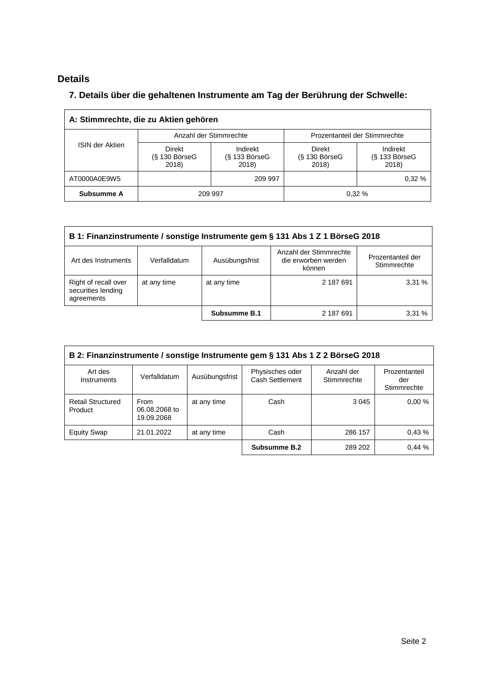# **Details**

# **7. Details über die gehaltenen Instrumente am Tag der Berührung der Schwelle:**

| A: Stimmrechte, die zu Aktien gehören |                                    |                                      |                                           |                                      |  |  |
|---------------------------------------|------------------------------------|--------------------------------------|-------------------------------------------|--------------------------------------|--|--|
|                                       |                                    | Anzahl der Stimmrechte               | Prozentanteil der Stimmrechte             |                                      |  |  |
| <b>ISIN der Aktien</b>                | Direkt<br>$(S$ 130 BörseG<br>2018) | Indirekt<br>$(S$ 133 BörseG<br>2018) | <b>Direkt</b><br>$(S$ 130 BörseG<br>2018) | Indirekt<br>$(S$ 133 BörseG<br>2018) |  |  |
| AT0000A0E9W5                          |                                    | 209 997                              |                                           | 0.32%                                |  |  |
| Subsumme A                            | 209 997                            |                                      |                                           | 0.32%                                |  |  |

| B 1: Finanzinstrumente / sonstige Instrumente gem § 131 Abs 1 Z 1 BörseG 2018                                                                        |             |              |           |        |  |  |
|------------------------------------------------------------------------------------------------------------------------------------------------------|-------------|--------------|-----------|--------|--|--|
| Anzahl der Stimmrechte<br>Prozentanteil der<br>die erworben werden<br>Art des Instruments<br>Verfalldatum<br>Ausübungsfrist<br>Stimmrechte<br>können |             |              |           |        |  |  |
| Right of recall over<br>securities lending<br>agreements                                                                                             | at any time | at any time  | 2 187 691 | 3,31 % |  |  |
|                                                                                                                                                      |             | Subsumme B.1 | 2 187 691 | 3.31%  |  |  |

| B 2: Finanzinstrumente / sonstige Instrumente gem § 131 Abs 1 Z 2 BörseG 2018 |                                     |                |                                    |                           |                                     |  |
|-------------------------------------------------------------------------------|-------------------------------------|----------------|------------------------------------|---------------------------|-------------------------------------|--|
| Art des<br>Instruments                                                        | Verfalldatum                        | Ausübungsfrist | Physisches oder<br>Cash Settlement | Anzahl der<br>Stimmrechte | Prozentanteil<br>der<br>Stimmrechte |  |
| <b>Retail Structured</b><br>Product                                           | From<br>06.08.2068 to<br>19.09.2068 | at any time    | Cash                               | 3 0 4 5                   | 0.00%                               |  |
| <b>Equity Swap</b>                                                            | 21.01.2022                          | at any time    | Cash                               | 286 157                   | 0.43%                               |  |
|                                                                               |                                     |                | Subsumme B.2                       | 289 202                   | 0,44%                               |  |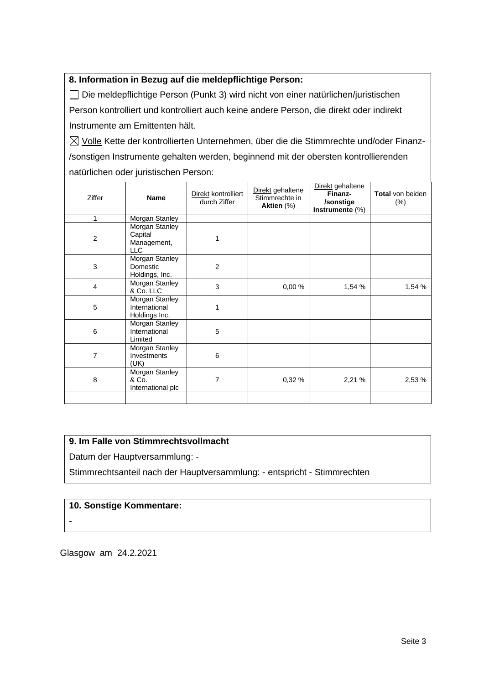## **8. Information in Bezug auf die meldepflichtige Person:**

Die meldepflichtige Person (Punkt 3) wird nicht von einer natürlichen/juristischen Person kontrolliert und kontrolliert auch keine andere Person, die direkt oder indirekt Instrumente am Emittenten hält.

 $\boxtimes$  Volle Kette der kontrollierten Unternehmen, über die die Stimmrechte und/oder Finanz-/sonstigen Instrumente gehalten werden, beginnend mit der obersten kontrollierenden natürlichen oder juristischen Person:

| Ziffer         | <b>Name</b>                                            | Direkt kontrolliert<br>durch Ziffer | Direkt gehaltene<br>Stimmrechte in<br>Aktien (%) | Direkt gehaltene<br>Finanz-<br>/sonstige<br>Instrumente (%) | <b>Total</b> von beiden<br>$(\%)$ |
|----------------|--------------------------------------------------------|-------------------------------------|--------------------------------------------------|-------------------------------------------------------------|-----------------------------------|
| 1              | Morgan Stanley                                         |                                     |                                                  |                                                             |                                   |
| $\overline{2}$ | Morgan Stanley<br>Capital<br>Management,<br><b>LLC</b> |                                     |                                                  |                                                             |                                   |
| 3              | Morgan Stanley<br>Domestic<br>Holdings, Inc.           | 2                                   |                                                  |                                                             |                                   |
| $\overline{4}$ | Morgan Stanley<br>& Co. LLC                            | 3                                   | 0,00%                                            | 1,54 %                                                      | 1,54 %                            |
| 5              | Morgan Stanley<br>International<br>Holdings Inc.       | 1                                   |                                                  |                                                             |                                   |
| 6              | Morgan Stanley<br>International<br>Limited             | 5                                   |                                                  |                                                             |                                   |
| 7              | Morgan Stanley<br>Investments<br>(UK)                  | 6                                   |                                                  |                                                             |                                   |
| 8              | Morgan Stanley<br>& Co.<br>International plc           | 7                                   | 0,32 %                                           | 2,21%                                                       | 2,53 %                            |
|                |                                                        |                                     |                                                  |                                                             |                                   |

## **9. Im Falle von Stimmrechtsvollmacht**

Datum der Hauptversammlung: -

Stimmrechtsanteil nach der Hauptversammlung: - entspricht - Stimmrechten

#### **10. Sonstige Kommentare:**

-

Glasgow am 24.2.2021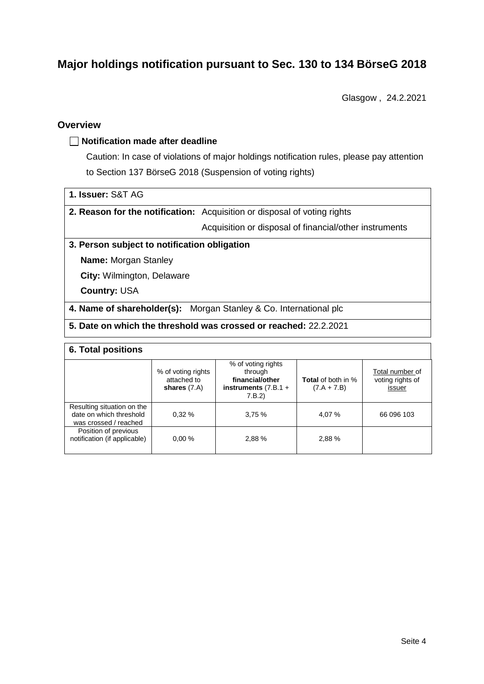# **Major holdings notification pursuant to Sec. 130 to 134 BörseG 2018**

Glasgow , 24.2.2021

## **Overview**

#### **Notification made after deadline**

Caution: In case of violations of major holdings notification rules, please pay attention to Section 137 BörseG 2018 (Suspension of voting rights)

**2. Reason for the notification:** Acquisition or disposal of voting rights

Acquisition or disposal of financial/other instruments

#### **3. Person subject to notification obligation**

**Name:** Morgan Stanley

**City:** Wilmington, Delaware

**Country:** USA

**4. Name of shareholder(s):** Morgan Stanley & Co. International plc

## **5. Date on which the threshold was crossed or reached:** 22.2.2021

#### **6. Total positions**

|                                                                                | % of voting rights<br>attached to<br>shares $(7.A)$ | % of voting rights<br>through<br>financial/other<br>instruments $(7.B.1 +$<br>7.B.2) | <b>Total</b> of both in %<br>$(7.A + 7.B)$ | Total number of<br>voting rights of<br>issuer |
|--------------------------------------------------------------------------------|-----------------------------------------------------|--------------------------------------------------------------------------------------|--------------------------------------------|-----------------------------------------------|
| Resulting situation on the<br>date on which threshold<br>was crossed / reached | 0.32%                                               | 3.75%                                                                                | 4,07 %                                     | 66 096 103                                    |
| Position of previous<br>notification (if applicable)                           | 0.00%                                               | 2.88%                                                                                | 2.88%                                      |                                               |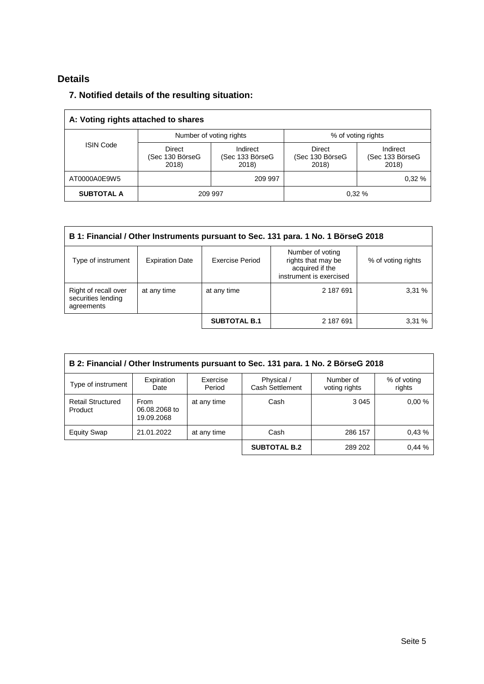# **Details**

# **7. Notified details of the resulting situation:**

| A: Voting rights attached to shares |                                    |                                      |                                           |                                      |  |
|-------------------------------------|------------------------------------|--------------------------------------|-------------------------------------------|--------------------------------------|--|
|                                     |                                    | Number of voting rights              | % of voting rights                        |                                      |  |
| <b>ISIN Code</b>                    | Direct<br>(Sec 130 BörseG<br>2018) | Indirect<br>(Sec 133 BörseG<br>2018) | <b>Direct</b><br>(Sec 130 BörseG<br>2018) | Indirect<br>(Sec 133 BörseG<br>2018) |  |
| AT0000A0E9W5                        |                                    | 209 997                              |                                           | 0.32%                                |  |
| <b>SUBTOTAL A</b>                   |                                    | 209 997                              |                                           | 0,32%                                |  |

| B 1: Financial / Other Instruments pursuant to Sec. 131 para. 1 No. 1 BörseG 2018                                                                                                    |             |                     |           |       |  |  |
|--------------------------------------------------------------------------------------------------------------------------------------------------------------------------------------|-------------|---------------------|-----------|-------|--|--|
| Number of voting<br>rights that may be<br><b>Exercise Period</b><br>Type of instrument<br><b>Expiration Date</b><br>% of voting rights<br>acquired if the<br>instrument is exercised |             |                     |           |       |  |  |
| Right of recall over<br>securities lending<br>agreements                                                                                                                             | at any time | at any time         | 2 187 691 | 3,31% |  |  |
|                                                                                                                                                                                      |             | <b>SUBTOTAL B.1</b> | 2 187 691 | 3,31% |  |  |

| B 2: Financial / Other Instruments pursuant to Sec. 131 para. 1 No. 2 BörseG 2018 |                                            |                    |                               |                            |                       |  |
|-----------------------------------------------------------------------------------|--------------------------------------------|--------------------|-------------------------------|----------------------------|-----------------------|--|
| Type of instrument                                                                | Expiration<br>Date                         | Exercise<br>Period | Physical /<br>Cash Settlement | Number of<br>voting rights | % of voting<br>rights |  |
| <b>Retail Structured</b><br>Product                                               | <b>From</b><br>06.08.2068 to<br>19.09.2068 | at any time        | Cash                          | 3 0 4 5                    | 0.00%                 |  |
| <b>Equity Swap</b>                                                                | 21.01.2022                                 | at any time        | Cash                          | 286 157                    | 0.43%                 |  |
|                                                                                   |                                            |                    | <b>SUBTOTAL B.2</b>           | 289 202                    | 0.44%                 |  |